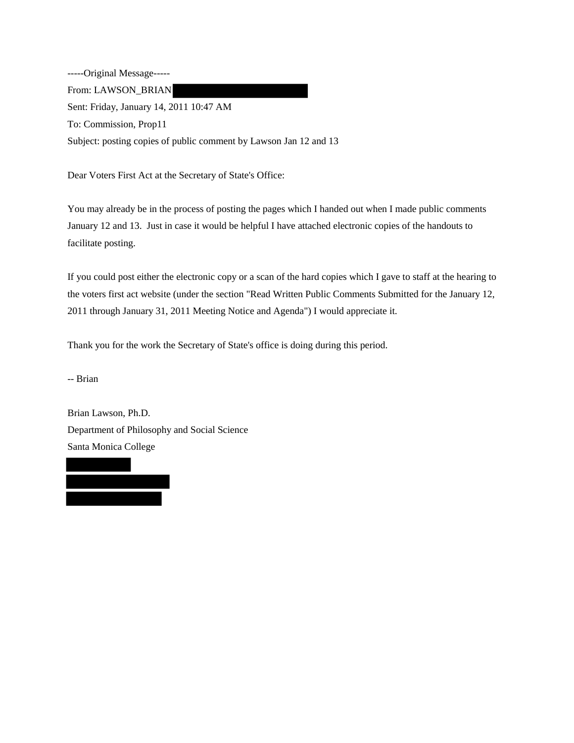-----Original Message----- From: LAWSON\_BRIAN Sent: Friday, January 14, 2011 10:47 AM To: Commission, Prop11 Subject: posting copies of public comment by Lawson Jan 12 and 13

Dear Voters First Act at the Secretary of State's Office:

You may already be in the process of posting the pages which I handed out when I made public comments January 12 and 13. Just in case it would be helpful I have attached electronic copies of the handouts to facilitate posting.

If you could post either the electronic copy or a scan of the hard copies which I gave to staff at the hearing to the voters first act website (under the section "Read Written Public Comments Submitted for the January 12, 2011 through January 31, 2011 Meeting Notice and Agenda") I would appreciate it.

Thank you for the work the Secretary of State's office is doing during this period.

-- Brian

Brian Lawson, Ph.D. Department of Philosophy and Social Science Santa Monica College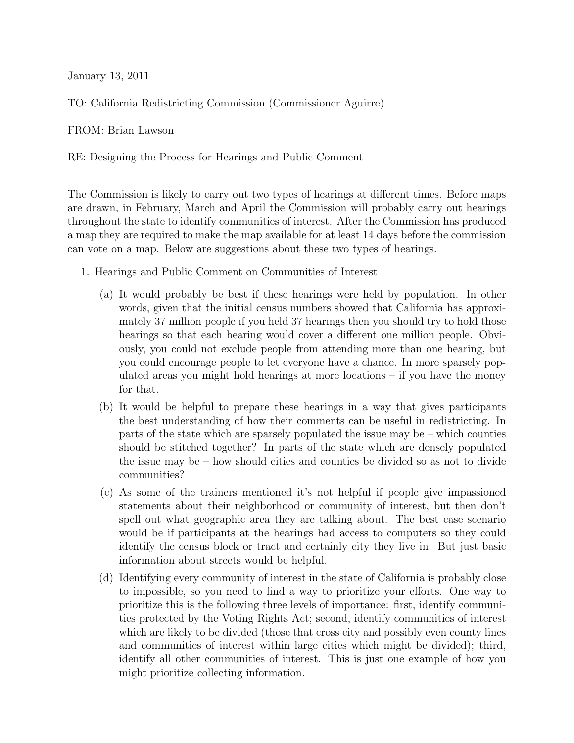January 13, 2011

TO: California Redistricting Commission (Commissioner Aguirre)

FROM: Brian Lawson

RE: Designing the Process for Hearings and Public Comment

The Commission is likely to carry out two types of hearings at different times. Before maps are drawn, in February, March and April the Commission will probably carry out hearings throughout the state to identify communities of interest. After the Commission has produced a map they are required to make the map available for at least 14 days before the commission can vote on a map. Below are suggestions about these two types of hearings.

- 1. Hearings and Public Comment on Communities of Interest
	- (a) It would probably be best if these hearings were held by population. In other words, given that the initial census numbers showed that California has approximately 37 million people if you held 37 hearings then you should try to hold those hearings so that each hearing would cover a different one million people. Obviously, you could not exclude people from attending more than one hearing, but you could encourage people to let everyone have a chance. In more sparsely populated areas you might hold hearings at more locations – if you have the money for that.
	- (b) It would be helpful to prepare these hearings in a way that gives participants the best understanding of how their comments can be useful in redistricting. In parts of the state which are sparsely populated the issue may be – which counties should be stitched together? In parts of the state which are densely populated the issue may be – how should cities and counties be divided so as not to divide communities?
	- (c) As some of the trainers mentioned it's not helpful if people give impassioned statements about their neighborhood or community of interest, but then don't spell out what geographic area they are talking about. The best case scenario would be if participants at the hearings had access to computers so they could identify the census block or tract and certainly city they live in. But just basic information about streets would be helpful.
	- (d) Identifying every community of interest in the state of California is probably close to impossible, so you need to find a way to prioritize your efforts. One way to prioritize this is the following three levels of importance: first, identify communities protected by the Voting Rights Act; second, identify communities of interest which are likely to be divided (those that cross city and possibly even county lines and communities of interest within large cities which might be divided); third, identify all other communities of interest. This is just one example of how you might prioritize collecting information.